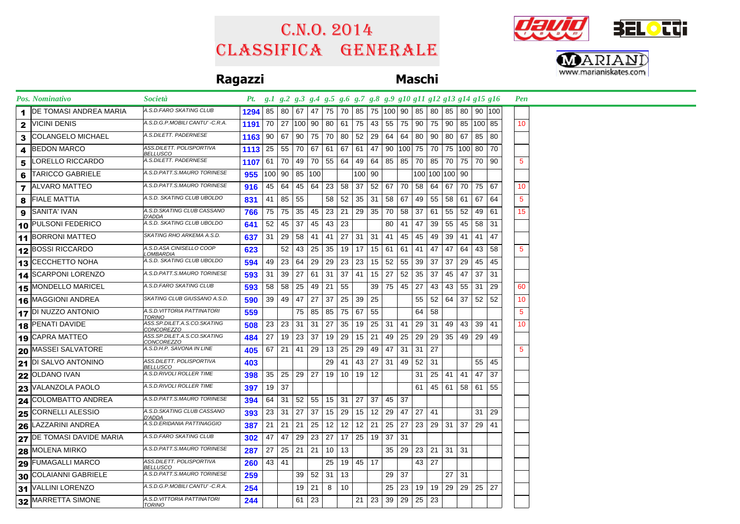# Classifica generale C.n.o. 2014





## **Ragazzi Maschi**

|                 | <b>Pos. Nominativo</b>     | <i>Società</i>                                   | Pt. g.1 g.2 g.3 g.4 g.5 g.6 g.7 g.8 g.9 g10 g11 g12 g13 g14 g15 g16 |                 |                              |    |             |                      |         |              |                |                 |                      |       |                      |                 |              |                      |        | <b>Pen</b>      |  |  |  |
|-----------------|----------------------------|--------------------------------------------------|---------------------------------------------------------------------|-----------------|------------------------------|----|-------------|----------------------|---------|--------------|----------------|-----------------|----------------------|-------|----------------------|-----------------|--------------|----------------------|--------|-----------------|--|--|--|
|                 | IDE TOMASI ANDREA MARIA    | A.S.D.FARO SKATING CLUB                          | 1294                                                                |                 | 85   80                      | 67 | 47          | 75 I                 | 70      |              |                | 85 75 100 90    |                      |       | 85   80              |                 | 85   80      |                      | 90 100 |                 |  |  |  |
| 2               | VICINI DENIS               | A.S.D.G.P.MOBILI CANTU' -C.R.A.                  | 1191                                                                |                 | 70   27   100   90   80   61 |    |             |                      |         | 75 43        |                | 55              | 75 90                |       | 75                   |                 |              | 90 85 100 85         |        | 10 <sup>1</sup> |  |  |  |
| 3               | COLANGELO MICHAEL          | A.S.DILETT. PADERNESE                            | 1163                                                                |                 | 90 67                        |    | 90 75 70 80 |                      |         |              | $52 \mid 29$   | 64              |                      |       | 64 80 90             |                 |              | 80 67 85 80          |        |                 |  |  |  |
| 4               | <b>BEDON MARCO</b>         | ASS.DILETT. POLISPORTIVA<br>BELLUSCO             | 1113                                                                | 25              | 55                           | 70 |             | 67 61 67             |         |              | $61 \mid 47$   | 90              |                      |       | 100 75 70            |                 |              | 75   100   80        | 70     |                 |  |  |  |
| 5               | LORELLO RICCARDO           | A.S.DILETT. PADERNESE                            | 1107                                                                |                 | 61 70                        | 49 |             | 70 55 64             |         |              | 49 64          | 85              |                      |       | 85 70 85             |                 |              | 70   75   70   90    |        | 5               |  |  |  |
| 6               | <b>TARICCO GABRIELE</b>    | A.S.D.PATT.S.MAURO TORINESE                      | 955                                                                 |                 | 100 90                       | 85 | 100         |                      |         | 100 90       |                |                 |                      |       | 100 100 100 90       |                 |              |                      |        |                 |  |  |  |
| 7               | <b>ALVARO MATTEO</b>       | A.S.D.PATT.S.MAURO TORINESE                      | 916                                                                 |                 | 45 64                        | 45 | 64 23 58    |                      |         |              |                | 37   52   67    | 70                   |       | 58 64                |                 |              | 67 70 75 67          |        | 10              |  |  |  |
| 8               | <b>FIALE MATTIA</b>        | A.S.D. SKATING CLUB UBOLDO                       | 831                                                                 | 41              | 85                           | 55 |             | 58                   | 52      |              | $35 \mid 31$   | 58              | 67                   |       | 49 55                |                 | 58   61   67 |                      | 64     | 5               |  |  |  |
| 9               | SANITA' IVAN               | A.S.D.SKATING CLUB CASSANO<br>D'ADDA             | 766                                                                 | 75              | 75                           | 35 |             | 45 23                | 21      |              | 29 35          | 70              | 58 <sup>1</sup>      | 37    | -61                  | 55              |              | $52 \mid 49 \mid 61$ |        | 15 <sub>1</sub> |  |  |  |
|                 | 10 PULSONI FEDERICO        | A.S.D. SKATING CLUB UBOLDO                       | 641                                                                 | 52 <sub>1</sub> | 45                           | 37 |             | $45$   43            | 23      |              |                | 80              | 41                   | 47    | 39                   | 55              |              | 45 58 31             |        |                 |  |  |  |
|                 | 11 BORRONI MATTEO          | SKATING RHO ARKEMA A.S.D.                        | 637                                                                 |                 | $31 \mid 29$                 | 58 |             | 41 41                | 27      | $31 \mid 31$ |                | 41              | 45                   |       | 45 49                | 39              |              | 41 41 47             |        |                 |  |  |  |
|                 | 12 BOSSI RICCARDO          | A.S.D.ASA CINISELLO COOP<br>OMBARDIA             | 623                                                                 |                 | 52                           | 43 | 25          | 35                   | 19      |              | $17$   15   61 |                 | 61                   | 41    | 47                   | 47              | 64 l         | 43                   | 58     | $\overline{5}$  |  |  |  |
| 13 <sup>1</sup> | CECCHETTO NOHA             | A.S.D. SKATING CLUB UBOLDO                       | 594                                                                 | 49              | 23                           | 64 |             | 29 29                | 23      |              | $23$   15      | 52              |                      | 55 39 | 37                   | 37 <sup>1</sup> |              | 29   45              | 45     |                 |  |  |  |
|                 | 14 SCARPONI LORENZO        | A.S.D.PATT.S.MAURO TORINESE                      | 593                                                                 | 31 I            | 39                           | 27 |             | $61$ 31              | 37      |              | $41$   15   27 |                 | 52                   | 35 37 |                      | 45              | 47           | 37                   | 31     |                 |  |  |  |
|                 | <b>15 MONDELLO MARICEL</b> | A.S.D.FARO SKATING CLUB                          | 593                                                                 | 58 <sup>1</sup> | 58                           | 25 | 49          | -21                  | 55      |              | 39             | 75              | 45 27                |       | 43                   | 43              | $55$ 31      |                      | 29     | 60              |  |  |  |
|                 | 16 MAGGIONI ANDREA         | SKATING CLUB GIUSSANO A.S.D.                     | 590                                                                 | 39              | 49                           | 47 | 27 37       |                      | 25      | $39 \mid 25$ |                |                 |                      | 55    | 52                   | 64              | 37           | 52                   | 52     | 10              |  |  |  |
|                 | 17 DI NUZZO ANTONIO        | A.S.D.VITTORIA PATTINATORI<br>TORINO             | 559                                                                 |                 |                              | 75 |             | 85 85                | 75      | 67           | 55             |                 |                      | 64    | 58                   |                 |              |                      |        | 5               |  |  |  |
|                 | 18 PENATI DAVIDE           | ASS.SP.DILET.A.S.CO.SKATING<br>CONCOREZZO        | 508                                                                 |                 | $23 \mid 23 \mid$            | 31 |             | $31 \mid 27 \mid 35$ |         |              |                | $19$ 25 31 41   |                      |       | $29 \mid 31$         |                 |              | 49 43 39 41          |        | 10              |  |  |  |
|                 | $19$ CAPRA MATTEO          | ASS.SP.DILET.A.S.CO.SKATING<br><i>CONCOREZZO</i> | 484                                                                 | 27              | 19                           | 23 | 37          | 19                   | 29      | $15 \mid 21$ |                | 49              | 25                   | 29    | 29                   | 35 <sup>1</sup> |              | 49 29 49             |        |                 |  |  |  |
|                 | <b>20 MASSEI SALVATORE</b> | A.S.D.H.P. SAVONA IN LINE                        | 405                                                                 |                 | 67   21                      | 41 | 29          | 13                   | 25      |              | 29 49          | 47              | $31 \mid 31$         |       | 27                   |                 |              |                      |        | 5               |  |  |  |
|                 | $21$ DI SALVO ANTONINO     | ASS.DILETT. POLISPORTIVA<br><u>BELLUSCO</u>      | 403                                                                 |                 |                              |    |             | 29                   | 41      |              | 43 27          | 31   49         |                      | 52    | 31                   |                 |              | 55 45                |        |                 |  |  |  |
|                 | 22 OLDANO IVAN             | A.S.D.RIVOLI ROLLER TIME                         | 398                                                                 |                 | 35   25   29   27   19   10  |    |             |                      |         | 19 12        |                |                 |                      | 31    | 25                   |                 |              | 41 41 47             | 37     |                 |  |  |  |
|                 | $23$ VALANZOLA PAOLO       | A.S.D.RIVOLI ROLLER TIME                         | 397                                                                 |                 | 19   37                      |    |             |                      |         |              |                |                 |                      | 61    | 45                   |                 |              | 61   58   61   55    |        |                 |  |  |  |
| 24              | COLOMBATTO ANDREA          | A.S.D.PATT.S.MAURO TORINESE                      | 394                                                                 | 64 l            | 31                           | 52 |             | 55   15   31         |         | 27           | 37             | 45 37           |                      |       |                      |                 |              |                      |        |                 |  |  |  |
|                 | 25 CORNELLI ALESSIO        | A.S.D.SKATING CLUB CASSANO<br>D'ADDA             | 393                                                                 |                 | $23 \mid 31$                 | 27 | 37          |                      | 15   29 |              | $15$ 12 29     |                 | 47                   | 27    | 41                   |                 |              | 31                   | 29     |                 |  |  |  |
|                 | 26 LAZZARINI ANDREA        | A.S.D.ERIDANIA PATTINAGGIO                       | 387                                                                 |                 | $21 \ 21$                    | 21 |             | $25$ 12              | 12      | $12 \mid 21$ |                | 25              | 27 23                |       | 29                   | 31              | 37           | 29 41                |        |                 |  |  |  |
|                 | 27 DE TOMASI DAVIDE MARIA  | A.S.D.FARO SKATING CLUB                          | 302                                                                 | 47              | 47                           | 29 | $23 \mid$   | 27                   | 17      |              | $25$ 19 37     |                 | 31                   |       |                      |                 |              |                      |        |                 |  |  |  |
| 28              | MOLENA MIRKO               | A.S.D.PATT.S.MAURO TORINESE                      | 287                                                                 | 27              | 25                           | 21 |             | $21 \mid 10$         | 13      |              |                | 35              | 29                   | 23    | $21 \mid 31 \mid 31$ |                 |              |                      |        |                 |  |  |  |
|                 | 29 FUMAGALLI MARCO         | ASS.DILETT. POLISPORTIVA<br><b>BELLUSCO</b>      | 260                                                                 |                 | 43 41                        |    |             | 25                   |         | 19 45 17     |                |                 |                      |       | $43 \mid 27$         |                 |              |                      |        |                 |  |  |  |
|                 | 30 COLAIANNI GABRIELE      | A.S.D.PATT.S.MAURO TORINESE                      | 259                                                                 |                 |                              | 39 | $52$ 31     |                      | 13      |              |                | 29              | 37                   |       |                      | 27 <sub>1</sub> | 31           |                      |        |                 |  |  |  |
|                 | 31 VALLINI LORENZO         | A.S.D.G.P.MOBILI CANTU' -C.R.A.                  | 254                                                                 |                 |                              | 19 | $\sqrt{21}$ | 8                    | 10      |              |                | 25              | 23                   |       | 19   19              |                 |              | 29 29 25 27          |        |                 |  |  |  |
|                 | 32 MARRETTA SIMONE         | A.S.D.VITTORIA PATTINATORI<br><u>TORINO</u>      | 244                                                                 |                 |                              | 61 | 23          |                      |         |              | $21 \mid 23$   | 39 <sup>°</sup> | $29 \mid 25 \mid 23$ |       |                      |                 |              |                      |        |                 |  |  |  |